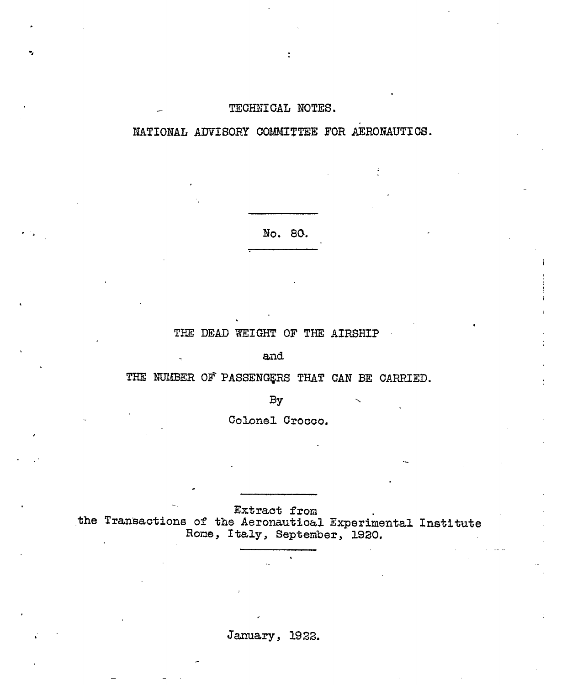#### TECHNICAL NOTES.

NATIONAL ADVISORY COMMITTEE FOR AERONAUTICS.

No. 80.

#### THE DEAD WEIGHT OF THE AIRSHIP

and

THE NUMBER OF PASSENGERS THAT CAN BE CARRIED.

 $By$ 

Colonel Crocco.

Extract from the Transactions of the Aeronautical Experimental Institute Rome, Italy, September, 1920.

January, 1922.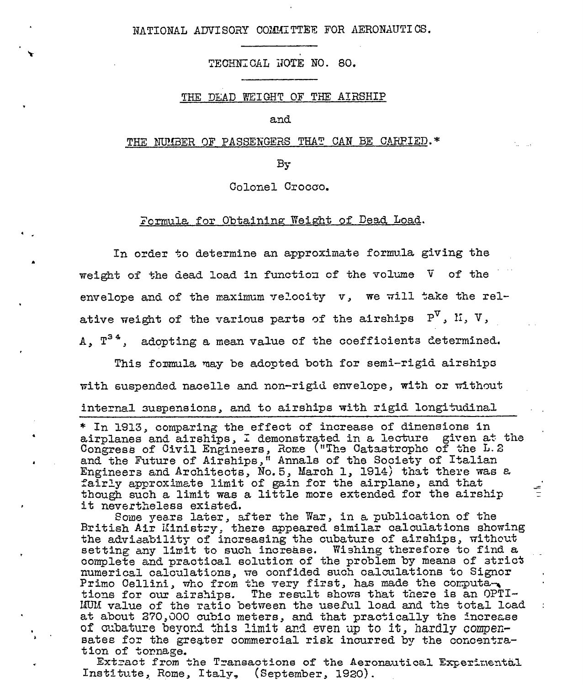NATIONAL ADVISORY COMMITTEE FOR AERONAUTICS.

TECHNICAL NOTE NO. 80.

#### THE DEAD WEIGHT OF THE AIRSHIP

and

#### THE NUMBER OF PASSENGERS THAT CAN BE CARPIED.\*

By

Colonel Crocco.

#### Formula for Obtaining Weight of Dead Load.

In order to determine an approximate formula giving the weight of the dead load in function of the volume V of the envelope and of the maximum velocity v, we will take the relative weight of the various parts of the airships  $P^{V}$ , II, V, A,  $T^{34}$ , adopting a mean value of the coefficients determined.

This formula may be adopted both for semi-rigid airships with suspended nacelle and non-rigid envelope, with or without internal suspensions, and to airships with rigid longitudinal

\* In 1913, comparing the effect of increase of dimensions in airplanes and airships, I demonstrated in a lecture given at the Congress of Civil Engineers, Rome ("The Catastrophe of the L.2 and the Future of Airships," Annals of the Society of Italian Engineers and Architects, No. 5, March 1, 1914) that there was a fairly approximate limit of gain for the airplane, and that though such a limit was a little more extended for the airship it nevertheless existed.

Some years later, after the War, in a publication of the British Air Ministry, there appeared similar calculations showing the advisability of increasing the cubature of airships, without setting any limit to such increase. Wishing therefore to find a complete and practical solution of the problem by means of strict numerical calculations, we confided such calculations to Signor Primo Cellini, who from the very first, has made the computa-MUM value of the ratio between the useful load and the total load at about 270,000 cubic meters, and that practically the increase of cubature bevond this limit and even up to it, hardly compensates for the greater commercial risk incurred by the concentration of tornage.

Extract from the Transactions of the Aeronautical Experimental Institute, Rome, Italy, (September, 1920).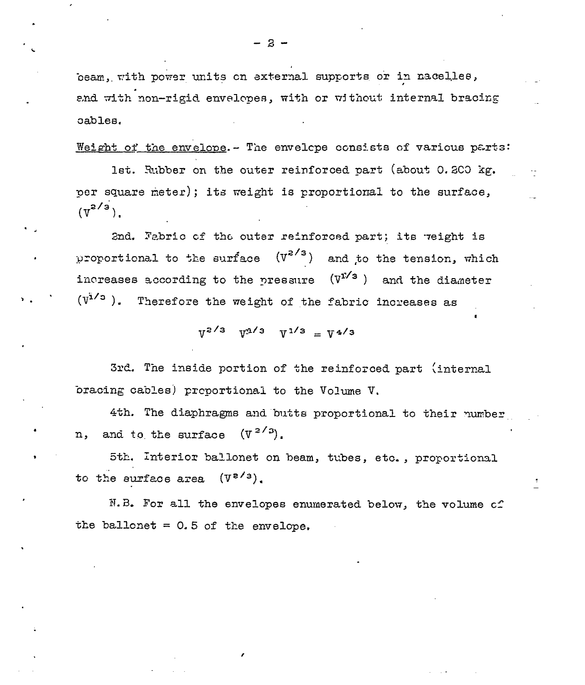$-3-$ 

beam, with power units on external supports or in nacelles, and with non-rigid envelopes, with or without internal bracing oables.

Weight of the envelope. - The envelope consists of various parts:

lst. Rubber on the outer reinforced part (about 0.200 kg. per square meter); its weight is proportional to the surface,  $(\overline{v}^{2/3})$ .

2nd. Fabric of the outer reinforced part; its weight is proportional to the surface  $(v^{z/s})$ and to the tension, which increases according to the pressure  $(V^{1/3})$ and the diameter  $(V^{1/3})$ . Therefore the weight of the fabric increases as

 $V^{2/3}$   $V^{1/3}$   $V^{1/3} = V^{4/3}$ 

3rd. The inside portion of the reinforced part (internal bracing cables) preportional to the Volume V.

4th. The diaphragms and butts proportional to their number and to the surface  $(V^{2/3})$ . n,

5th. Interior ballonet on beam, tubes, etc., proportional to the surface area  $(\mathcal{V}^{z/s})$ .

N.B. For all the envelopes enumerated below, the volume of the ballonet =  $0.5$  of the envelope.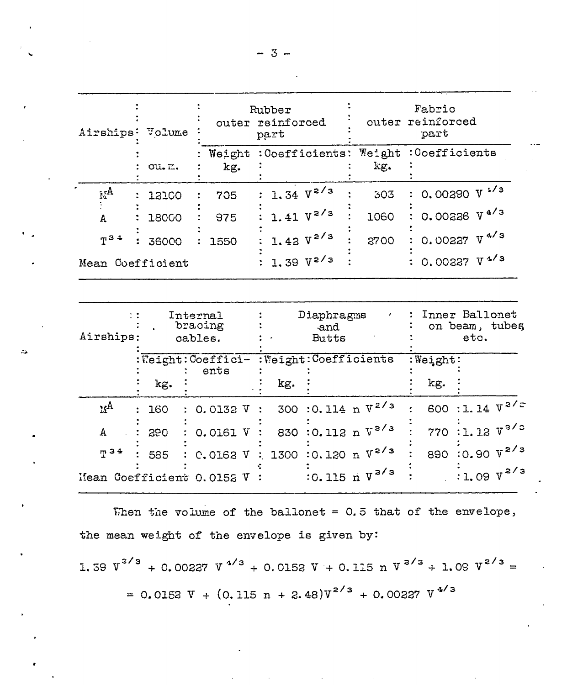| Airships:                                                      | Volume | outer                          | Rubber<br>reinforced<br>part      | outer                      | Fabric<br>reinforced<br>part             |  |  |  |  |
|----------------------------------------------------------------|--------|--------------------------------|-----------------------------------|----------------------------|------------------------------------------|--|--|--|--|
|                                                                | cu. m. | Weight<br>kg.                  | :Coefficients:                    | $We$ ight<br>kg.           | :Coefficients                            |  |  |  |  |
| $\mathbf{A}_{A}$                                               | 12100  | 705                            | 1.34 $V^{2/3}$                    | 303                        | $0.00290 V$ <sup>1/3</sup>               |  |  |  |  |
| A                                                              | 18000  | 975                            | 1.41 $V^{2/3}$                    | 1060                       | 0.00226 V <sup>4/3</sup>                 |  |  |  |  |
| $T^{34}$                                                       | 36000  | 1550                           | 1.42 $V^{2/3}$                    | 2700                       | 0.00227 $V4/3$                           |  |  |  |  |
| 0.00237 V <sup>4/3</sup><br>1.39 $V^{2/3}$<br>Mean Coefficient |        |                                |                                   |                            |                                          |  |  |  |  |
|                                                                |        |                                |                                   |                            |                                          |  |  |  |  |
| $\mathcal{L}$<br>Airships:                                     |        | Internal<br>bracing<br>cables. | Diaphragms<br>and<br><b>Butts</b> |                            | Inner Ballonet<br>on beam, tubes<br>etc. |  |  |  |  |
|                                                                |        | Weight: Coeffici-<br>ents      | : Weight: Coefficients            |                            | Weight:                                  |  |  |  |  |
|                                                                | kg.    |                                | kg.                               |                            | kg.                                      |  |  |  |  |
| $M^{\mathbf{A}}$                                               | 160    | 0.0132 V                       | 300                               | :0.114 n $V^{z/s}$         | 600 :1.14 $V^{2/z}$                      |  |  |  |  |
| А                                                              | 290    | 0.0161 V                       | 830                               | $:0.112 \text{ n V}^{2/3}$ | 770 :1.12 $V^{3/2}$                      |  |  |  |  |
| T <sup>34</sup>                                                | 585    | C.0162 V                       | 1300                              | $:0.120 \text{ n V}^{2/3}$ | 890 : 0.90 V <sup>2/3</sup>              |  |  |  |  |
| Mean Coefficient 0.0152 V                                      |        |                                |                                   | :0.115 $n V^{2/3}$         | $:1.09 \text{ V}^{2/3}$                  |  |  |  |  |

When the volume of the ballonet =  $0.5$  that of the envelope, the mean weight of the envelope is given by:

1.59  $v^{3/3}$  + 0.00227  $v^{4/3}$  + 0.0152  $v$  + 0.115 n  $v^{3/3}$  + 1.09  $v^{2/3}$  = = 0.0152 V +  $(0.115 n + 2.48)V^{2/3}$  + 0.00227 V<sup>4/3</sup>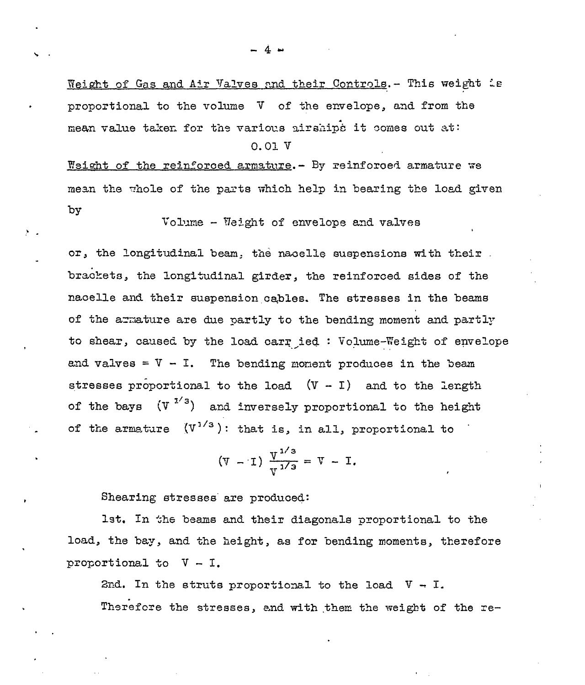Weight of Gas and Air Valves and their Controls. - This weight is proportional to the volume V of the envelope, and from the mean value taken for the various airships it comes out at:  $0.01V$ 

Weight of the reinforced armature. - By reinforced armature we mean the whole of the parts which help in bearing the load given by

Volume - Weight of envelope and valves

or, the longitudinal beam, the nacelle suspensions with their. brackets, the longitudinal girder, the reinforced sides of the nacelle and their suspension cables. The stresses in the beams of the armature are due partly to the bending moment and partly to shear, caused by the load carr ied: Volume-Weight of envelope and valves =  $V - I$ . The bending moment produces in the beam stresses proportional to the load  $(V - I)$  and to the length of the bays  $(V^{1/3})$  and inversely proportional to the height of the armature  $(V^{1/3})$ : that is, in all, proportional to

$$
(V - I) \frac{V^{1/3}}{V^{1/3}} = V - I.
$$

Shearing stresses are produced:

lst. In the beams and their diagonals proportional to the load, the bay, and the height, as for bending moments, therefore proportional to  $V - I$ .

2nd. In the struts proportional to the load  $V - I$ . Therefore the stresses, and with them the weight of the re-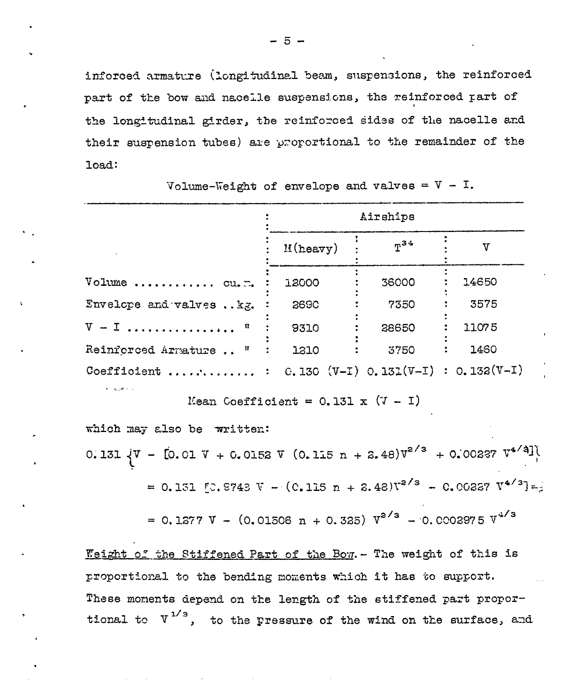inforced armature (longitudinal beam, suspensions, the reinforced part of the bow and nacelle suspensions, the reinforced part of the longitudinal girder, the reinforced sides of the nacelle and their suspension tubes) are proportional to the remainder of the load:

Volume-Weight of envelope and valves =  $V - I$ .

|                                                                                                          | Airships    |          |              |  |  |  |  |  |
|----------------------------------------------------------------------------------------------------------|-------------|----------|--------------|--|--|--|--|--|
|                                                                                                          | $M$ (heavy) | $F^{34}$ | $\mathbf{v}$ |  |  |  |  |  |
| Volume  cu.m.                                                                                            | 12000       | 36000    | 14650        |  |  |  |  |  |
| Envelope and valves kg.                                                                                  | 2690        | 7350     | 3575         |  |  |  |  |  |
| $V = I$ $R$                                                                                              | 9310        | 28650    | 11075        |  |  |  |  |  |
| Reinforced Armature " :                                                                                  | 1310        | 3750     | : 1460       |  |  |  |  |  |
| Coefficient  : $C.130 (V-I) 0.131(V-I) : 0.132(V-I)$<br>Mean Coefficient = $0.131 \times (7 - 1)$        |             |          |              |  |  |  |  |  |
| which may also be written:                                                                               |             |          |              |  |  |  |  |  |
| 0.131 $\sqrt{V}$ - [0.01 $\sqrt{V}$ + 0.0152 $\sqrt{V}$ (0.115 n + 2.48) $V^{2/3}$ + 0.00237 $V^{4/4}$ ] |             |          |              |  |  |  |  |  |
| = 0.131 [C. 8743 V - (C. 115 n + 2.48) $V^{2/3}$ - 0.00227 $V^{4/3}$ -                                   |             |          |              |  |  |  |  |  |
| = 0.1277 V - (0.01506 n + 0.325) $V^{2/3}$ - 0.0002975 $V^{4/3}$                                         |             |          |              |  |  |  |  |  |

Weight of the Stiffened Part of the Bow. - The weight of this is proportional to the bending moments which it has to support. These moments depend on the length of the stiffened part proportional to  $V^{1/3}$ , to the pressure of the wind on the surface, and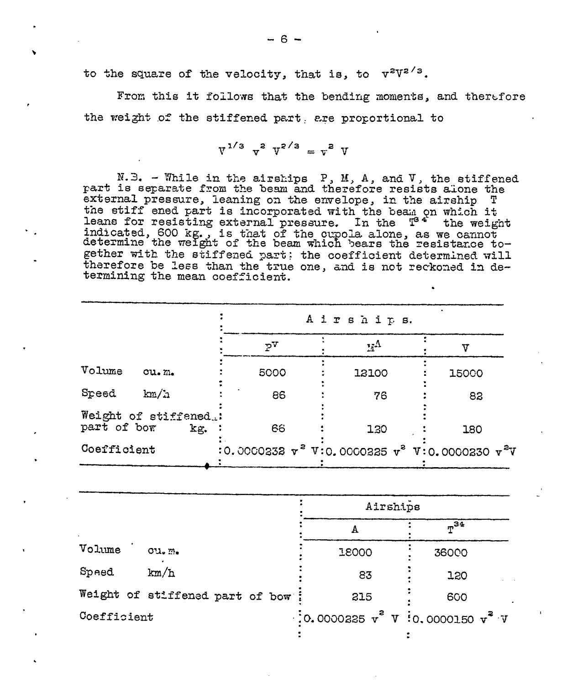to the square of the velocity, that is, to  $v^{2}V^{2/3}$ .

From this it follows that the bending moments, and therefore the weight of the stiffened part are proportional to

$$
V^{1/3} \, v^2 \, V^{2/3} = v^2 \, V
$$

N.B. - While in the airships P, M, A, and V, the stiffened part is separate from the beam and therefore resists alone the external pressure, leaning on the envelope, in the airship T the stiff ened part is incorporated with the beam on which it leans for resisting external pressure. In the T<sup>34</sup> the weight<br>indicated, 600 kg., is that of the cupola alone, as we cannot<br>determine the weight of the beam which bears the resistance together with the stiffened part; the coefficient determined will therefore be less than the true one, and is not reckoned in determining the mean coefficient.

|                                      |       |      | A irships. |                  |  |                                                        |  |
|--------------------------------------|-------|------|------------|------------------|--|--------------------------------------------------------|--|
|                                      |       | PV   |            | $\mathbf{r}_i$ A |  |                                                        |  |
| Volume                               | Cu.m. | 5000 |            | 12100            |  | 15000                                                  |  |
| Speed                                | km/a  | 86   |            | 76               |  | 82                                                     |  |
| Weight of stiffened.:<br>part of bor | kg.   | 66   |            | 130              |  | 180                                                    |  |
| Coefficient                          |       |      |            |                  |  | :0.0000232 $v^2$ V:0.0000225 $v^2$ V:0.0000230 $v^2$ V |  |

|                                                      | $n^{34}$ |
|------------------------------------------------------|----------|
| 18000                                                | 36000    |
| 83                                                   | 120      |
| 215                                                  | 600      |
| $\cdot$ :0.0000225 $v^2$ V $\cdot$ 0.0000150 $v^2$ V |          |
|                                                      | Airships |

 $-6 -$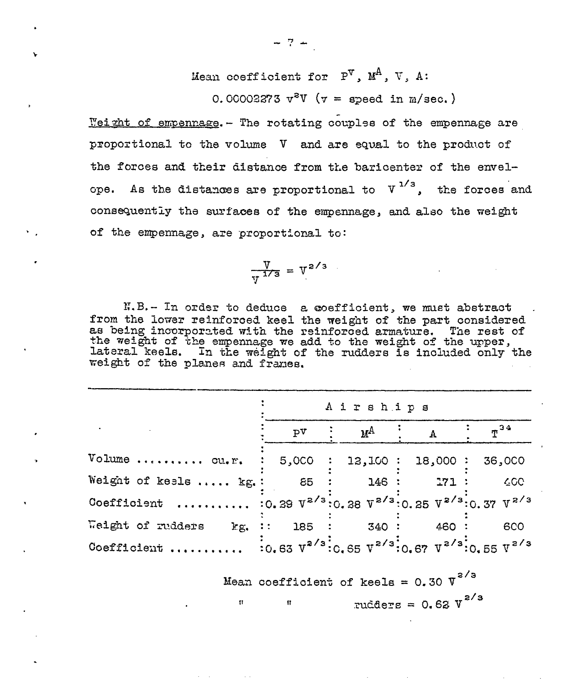Mean coefficient for  $P^V$ ,  $M^A$ , V, A:

0.00002273  $v^2V$  ( $v =$  speed in m/sec.)

Weight of empennage. - The rotating couples of the empennage are proportional to the volume V and are equal to the product of the forces and their distance from the baricenter of the envelope. As the distances are proportional to  $V^{1/3}$ , the forces and consequently the surfaces of the empennage, and also the weight of the empennage, are proportional to:

$$
\frac{\text{V}}{\text{V}^{1/3}} = \text{V}^{2/3}
$$

N.B.- In order to deduce a coefficient, we must abstract from the lower reinforced keel the weight of the part considered as being incorporated with the reinforced armature. The rest of<br>the weight of the empennage we add to the weight of the upper,<br>lateral keels. In the weight of the rudders is included only the weight of the planes and frames.

|                                                                               | Airships       |  |                |  |      |  |                                                                                                                 |  |  |  |  |
|-------------------------------------------------------------------------------|----------------|--|----------------|--|------|--|-----------------------------------------------------------------------------------------------------------------|--|--|--|--|
|                                                                               | P <sup>T</sup> |  | м <sup>А</sup> |  |      |  | $\pi$ <sup>34</sup>                                                                                             |  |  |  |  |
| Volume  cu.r. : 5,000 : 12,100 : 18,000 : 36,000                              |                |  |                |  |      |  |                                                                                                                 |  |  |  |  |
| Weight of keels  kg.:                                                         | 85             |  | : 146:         |  | 271: |  | 400 <sub>1</sub>                                                                                                |  |  |  |  |
| Coefficient  : 0.39 $V^{2/3}$ :0.38 $V^{2/3}$ :0.35 $V^{2/3}$ :0.37 $V^{2/3}$ |                |  |                |  |      |  |                                                                                                                 |  |  |  |  |
| Weight of rudders<br>$E_{\rm g}$ .                                            |                |  | : 185 : 340 :  |  | 460: |  | 600                                                                                                             |  |  |  |  |
| Coefficient                                                                   |                |  |                |  |      |  | $\frac{1}{20.63}$ $V^{2/3}$ $\frac{1}{20.65}$ $V^{2/3}$ $\frac{1}{20.67}$ $V^{2/3}$ $\frac{1}{20.55}$ $V^{2/3}$ |  |  |  |  |

Mean coefficient of keels =  $0.30 \text{ V}^{2/3}$ rudders =  $0.62 \text{ V}^{2/3}$  $\mathbf{u}$ 

 $-7 -$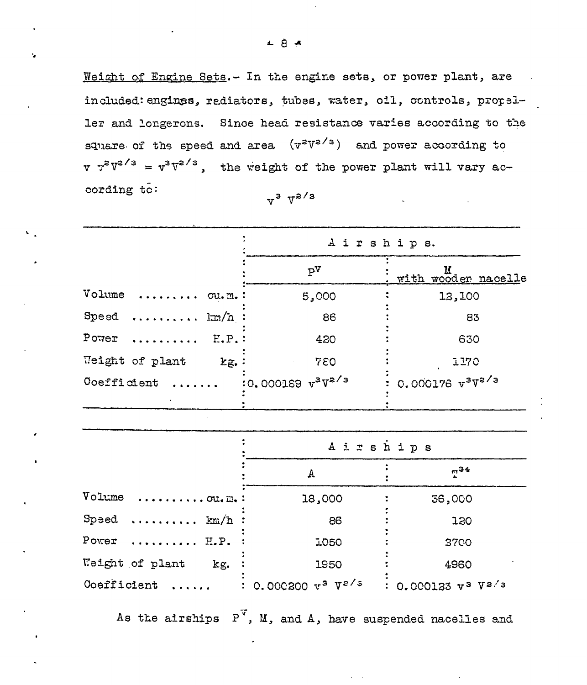¥

Weight of Engine Sets.- In the engine sets, or power plant, are included: engines, radiators, tubes, water, oil, controls, propeller and longerons. Since head resistance varies according to the square of the speed and area  $(\nu^2 V^{2/3})$  and power according to  $v \tau^2 V^{2/3} = v^3 V^{2/3}$ , the weight of the power plant will vary according to:  $v^3$   $V^{2/3}$ 

|                                                | Airships.               |                                   |
|------------------------------------------------|-------------------------|-----------------------------------|
|                                                | $P^V$                   | $\frac{u}{v}$ with wooder nacelle |
| Volume  ou.m.:                                 | 5,000                   | 12,100                            |
| Speed $lm/n$ :                                 | 86                      | 83                                |
| $P$ <sup>o</sup> $7e$ $r$ $\ldots$<br>$E.P.$ : | 420                     | 630                               |
| Weight of plant<br>$kg.$ :                     | 780                     | <b>I170</b>                       |
| Coefficient                                    | $:0.000189$ $v^3V^2$ /3 | $: 0.000176 v3V2/3$               |
|                                                |                         |                                   |

|                                                   | Airships                  |                     |  |  |  |  |  |  |
|---------------------------------------------------|---------------------------|---------------------|--|--|--|--|--|--|
|                                                   | А                         | $1^{34}$            |  |  |  |  |  |  |
| Volume $\ldots \ldots \ldots$ ou. $m_{\bullet}$ : | 18,000                    | 36,000              |  |  |  |  |  |  |
| Speed  km/h :                                     | 86                        | <b>130</b>          |  |  |  |  |  |  |
| Power $E.P.$                                      | 1050                      | 3700                |  |  |  |  |  |  |
| Weight of plant<br>kg.                            | 1950                      | 4960                |  |  |  |  |  |  |
| Coefficient                                       | : 0.000200 $v^3$ $V^2$ /3 | 0.000123 $v^3$ Va/3 |  |  |  |  |  |  |

As the airships  $P^{\overline{v}}$ , M, and A, have suspended nacelles and

 $\mathcal{L}^{\mathcal{L}}$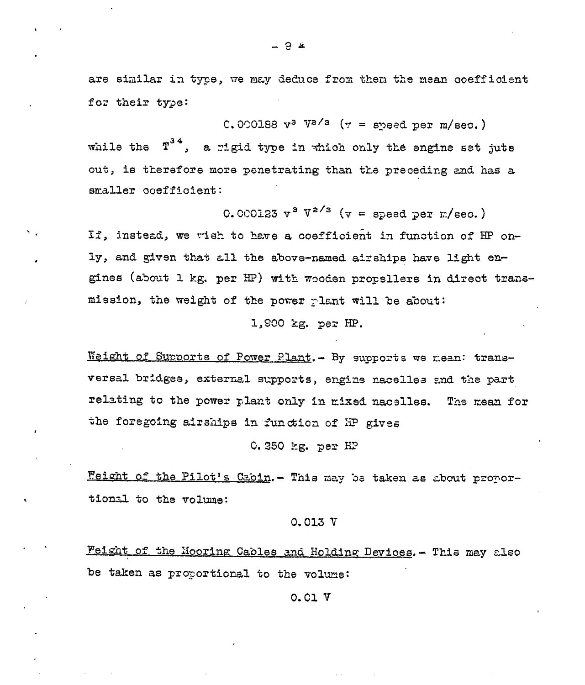are similar in type, we may deduce from then the mean coefficient for their type:

C.000188  $v^3$  V<sup>2/3</sup> ( $v =$  speed per m/sec.) while the  $T^{3.4}$ . a rigid type in which only the engine set juts out, is therefore more penetrating than the preceding and has a smaller coefficient:

0.000123  $v^3$   $V^{2/3}$  ( $v =$  speed per m/sec.)

If, instead, we wish to have a coefficient in function of HP only, and given that all the above-named airships have light engines (about 1 kg. per HP) with wooden propellers in direct transmission, the weight of the power plant will be about:

#### 1,900 kg. per HP.

Weight of Supports of Power Plant. - By supports we mean: transversal bridges, external supports, engine nacelles and the part relating to the power plant only in mixed nacelles. The mean for the foregoing airships in function of HP gives

#### 0.350 kg. per  $HP$

Feight of the Pilot's Cabin. - This may be taken as about proportional to the volume:

#### $0.013V$

Weight of the Mooring Cables and Holding Devices. - This may also be taken as proportional to the volume:

#### $0.01V$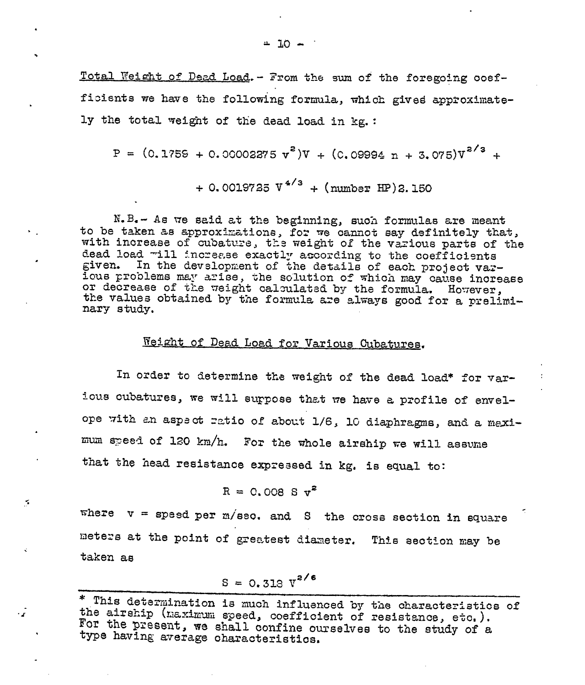Total Weight of Dead Load. - From the sum of the foregoing coefficients we have the following formula, which gived approximately the total weight of the dead load in kg.:

$$
P = (0.1759 + 0.00002375 v2)V + (0.09994 n + 3.075)v2/3 +
$$

+ 0.0019725  $V^{4/3}$  + (number HP)2.150

N.B. - As we said at the beginning, such formulas are meant to be taken as approximations, for we cannot say definitely that, with increase of cubature, the weight of the various parts of the dead load will increase exactly according to the coefficients given. In the development of the details of each project varlous problems may arise, the solution of which may cause increase or decrease of the weight calculated by the formula. However, the values obtained by the formula are always good for a preliminary study.

### Weight of Dead Load for Various Cubatures.

In order to determine the weight of the dead load\* for various cubatures, we will surpose that we have a profile of envelope with an aspect ratio of about 1/6, 10 diaphragms, and a maximum speed of 120 km/h. For the whole airship we will assume that the head resistance expressed in kg. is equal to:

$$
R = 0.008 S v^2
$$

 $\leq$ 

 $\cdot$   $\mathbf{r}$ 

where  $v =$  speed per m/sec. and S the cross section in square meters at the point of greatest diameter. This section may be taken as

$$
S = 0.318 V^{2/6}
$$

<sup>\*</sup> This determination is much influenced by the characteristics of the airship (maximum speed, coefficient of resistance, etc.). For the present, we shall confine ourselves to the study of a type having average characteristics.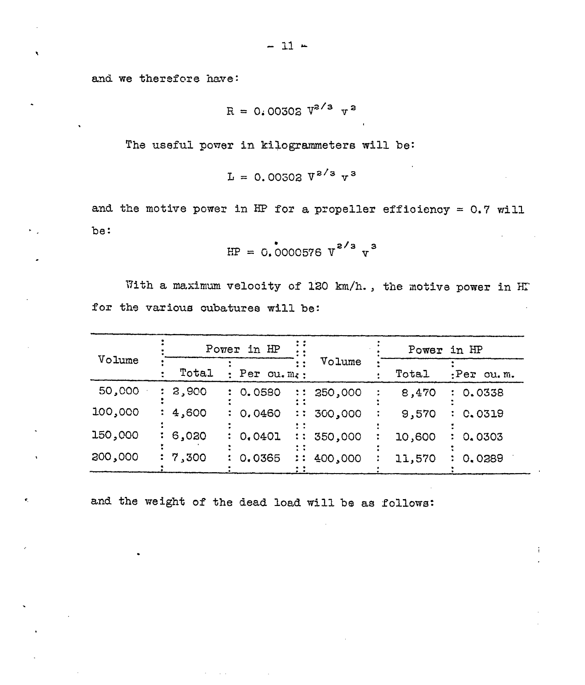and we therefore have:

ń,

 $\pmb{\epsilon}_i$ 

$$
R = 0.00302 V^{2/3} V^2
$$

The useful power in kilogrammeters will be:

$$
L = 0.00502 \, V^{2/3} \, v^3
$$

and the motive power in HP for a propeller efficiency =  $0.7$  will be:

$$
HP = 0.0000576 \, V^{2/3} \, v^3
$$

With a maximum velocity of 120 km/h., the motive power in HT for the various cubatures will be:

| Volume  |       | Power in HP          |           | Power in HP |           |  |  |  |
|---------|-------|----------------------|-----------|-------------|-----------|--|--|--|
|         | Total | Per $cu \cdot m_i$ : | Volume    | Total       | Per cu.m. |  |  |  |
| 50,000  | 2,900 | : 0.0580             | : 250,000 | 8,470       | : 0.0338  |  |  |  |
| 100,000 | 4,600 | : 0.0460             | : 300,000 | 9,570       | C.0319    |  |  |  |
| 150,000 | 6,020 | 0.0401               | : 350,000 | 10,600      | 0.0303    |  |  |  |
| 300,000 | 7,300 | : 0.0365             | : 400,000 | 11,570      | 0.0289    |  |  |  |

÷

and the weight of the dead load will be as follows: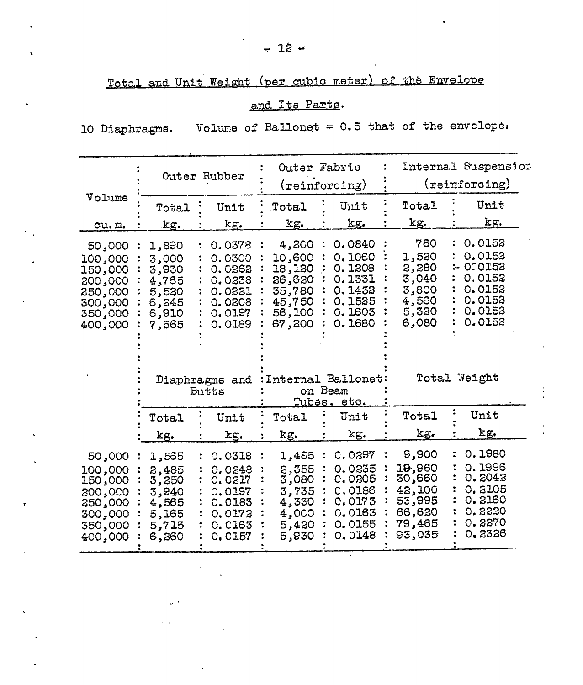# Total and Unit Weight (per cubic meter) of the Envelope

## and Its Parts.

10 Diaphragms. Volume of Ballonet =  $0.5$  that of the envelope.

|                                                                                     | Outer Rubber                                                          |  |                                                                                       |  | Outer Fabric                                                                |                                      | (reinforcing)                                                                | Internal Suspension<br>(reinforcing)                                        |  |                                                                                 |  |
|-------------------------------------------------------------------------------------|-----------------------------------------------------------------------|--|---------------------------------------------------------------------------------------|--|-----------------------------------------------------------------------------|--------------------------------------|------------------------------------------------------------------------------|-----------------------------------------------------------------------------|--|---------------------------------------------------------------------------------|--|
| Volume<br>cu.m.                                                                     | Total<br>kg.                                                          |  | Unit<br>kg.                                                                           |  | Total<br>kg.                                                                |                                      | Unit<br>kg.                                                                  | Total<br>kg.                                                                |  | Unit<br>kg.                                                                     |  |
| 50,000<br>100,000<br>150,000<br>200,000<br>250,000<br>300,000<br>350,000<br>400,000 | 1,890<br>3,000<br>3,930<br>4,765<br>5,520<br>6,845<br>6,910<br>7,565  |  | 0.0378<br>0.0300<br>0.0362<br>0.0238<br>0.0221<br>0.0308<br>0.0197<br>0.0189          |  | 4,200<br>10,600<br>18,120<br>26,620<br>35,780<br>45,750<br>56,100<br>67,300 |                                      | 0.0840<br>0.1060<br>0.1208<br>0.1331<br>0.1432<br>0.1525<br>0.1603<br>0.1680 | 760<br>1,520<br>2,280<br>3,040<br>3,800<br>4,560<br>5,320<br>6,080          |  | 0.0152<br>0.0153<br>$-0.0123$<br>0.0152<br>0.0152<br>0.0152<br>0.0152<br>0.0152 |  |
|                                                                                     |                                                                       |  | Diaphragms and<br><b>Butts</b>                                                        |  | Tubes,                                                                      | Internal Ballonet<br>on Beam<br>eto. | Total Teight                                                                 |                                                                             |  |                                                                                 |  |
|                                                                                     | Total<br>kg.                                                          |  | Unit<br>kg,                                                                           |  | Total<br>kg.                                                                |                                      | Unit<br>kg.                                                                  | Total<br>kg.                                                                |  | Unit<br>kg.                                                                     |  |
| 50,000<br>100,000<br>150,000<br>200,000<br>250,000<br>300,000<br>350,000<br>400,000 | 565, 1<br>2,485<br>3,250<br>3,940<br>4,565<br>5,165<br>5,715<br>6,260 |  | 0.0318<br>0.0248<br>0.0217<br>0.0197<br>0.0183<br>0.0173<br><b>0. C163</b><br>0. C157 |  | 1,485<br>2,355<br>3,080<br>3,735<br>4,330<br>4,000<br>5,420<br>5,830        |                                      | C.0297<br>0.0235<br>C.0205<br>C.0186<br>C.0173<br>0.0163<br>0.0155<br>0.0148 | 9,900<br>19,960<br>30,660<br>43,100<br>53,995<br>66,620<br>79,465<br>93,035 |  | 0.1980<br>0.1996<br>0.2043<br>0.2105<br>0.3160<br>0.8330<br>0.2270<br>0.2326    |  |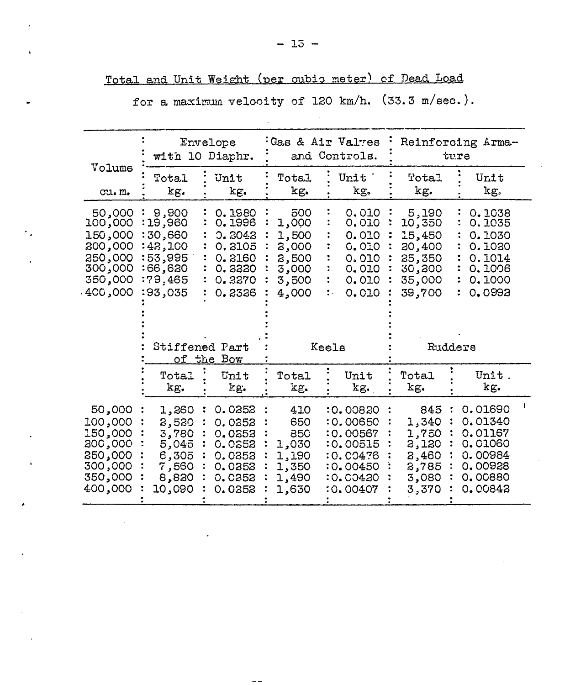|                                                                                     | with 10 Diaphr.                                                                                                                                                  | Envelope                                                                     |                                                                    | Gas & Air Valves<br>and Controls.                                                            |                                                                             | Reinforcing Arma-<br>ture                                                            |
|-------------------------------------------------------------------------------------|------------------------------------------------------------------------------------------------------------------------------------------------------------------|------------------------------------------------------------------------------|--------------------------------------------------------------------|----------------------------------------------------------------------------------------------|-----------------------------------------------------------------------------|--------------------------------------------------------------------------------------|
| Volume<br>cu.m.                                                                     | Total<br>kg.                                                                                                                                                     | Unit<br>kg.                                                                  | Total<br>kg.                                                       | Unit '<br>kg.                                                                                | Total<br>kg.                                                                | Unit<br>kg.                                                                          |
| 50,000<br>100,000<br>150,000<br>200,000<br>250,000<br>300,000<br>350,000<br>400,000 | 0.1980<br>9,900<br>0.1996<br>19,960<br>30,660<br>0.3043<br>:43,100<br>0.2105<br>:53,995<br>0.2160<br>:66,620<br>0.3330<br>:79,465<br>0.3370<br>:93,035<br>0.2326 |                                                                              | 500<br>1,000<br>1,500<br>8,000<br>2,500<br>3,000<br>3,500<br>4,000 | 0.010<br>0.010<br>0.010<br>0.010<br>0.010<br>0.010<br>0.010<br>0.010<br>٠.                   | 5,190<br>10,350<br>15,450<br>20,400<br>25,350<br>30,300<br>35,000<br>39,700 | 0.1038<br>0.1035<br>0.1030<br>0.1020<br>0.1014<br>0.1006<br>0.1000<br>0.0992         |
|                                                                                     | Stiffened Part                                                                                                                                                   | of the Bow                                                                   |                                                                    | Keels                                                                                        | Rudders                                                                     |                                                                                      |
|                                                                                     | Total<br>kg.                                                                                                                                                     | Unit<br>kg.                                                                  | Total<br>kg.                                                       | Unit<br>kg.                                                                                  | Total<br>kg.                                                                | Unit.<br>kg.                                                                         |
| 50,000<br>100,000<br>150,000<br>200,000<br>250,000<br>300,000<br>350,000<br>400,000 | 1,260<br>2,520<br>3,780<br>5,045<br>6,305<br>7,560<br>8,820<br>10,090                                                                                            | 0.0352<br>0.0352<br>0.0353<br>0.0252<br>0.0352<br>0.0353<br>0.0252<br>0.0352 | 410<br>650<br>850<br>1,030<br>1,190<br>1,350<br>1,490<br>1,630     | :0.00820<br>:0.00650<br>:0.00567<br>:0.00515<br>:0.CO476<br>:0.00450<br>:0.C0420<br>:0.00407 | 845<br>1,340<br>1,750<br>2,120<br>2,460<br>2,785<br>3,080<br>3,370          | 0.01690<br>0.01340<br>0.01167<br>0.01060<br>0.00984<br>0,00928<br>0.00880<br>0.00842 |

 $-\,-$ 

Total and Unit Weight (per oubis meter) of Dead Load

for a maximum velocity of 120 km/h. (33.3 m/sec.).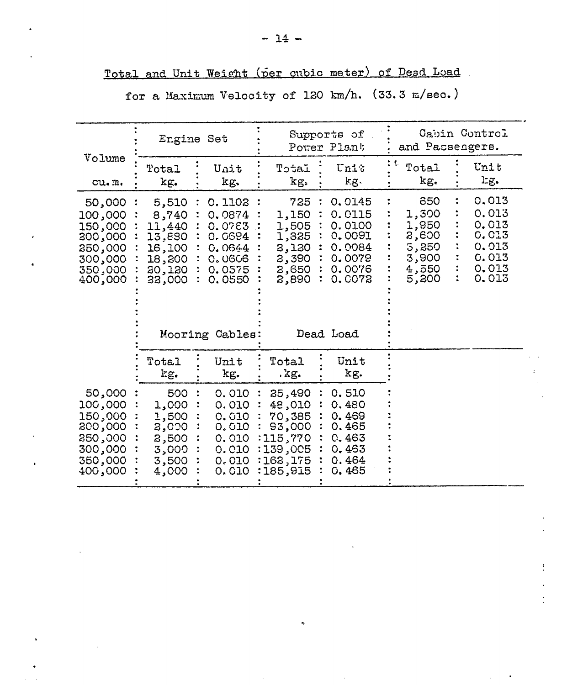|                                                                                      |                                                                            | Engine Set                                                                                        |                |                                                                                      | Supports of<br>Power Plant                                                                | Cabin Control<br>and Passengers.                                   |  |                                                                             |  |  |
|--------------------------------------------------------------------------------------|----------------------------------------------------------------------------|---------------------------------------------------------------------------------------------------|----------------|--------------------------------------------------------------------------------------|-------------------------------------------------------------------------------------------|--------------------------------------------------------------------|--|-----------------------------------------------------------------------------|--|--|
| Volume<br>cu.m.                                                                      | Total<br>kg.                                                               | Unit<br>kg.                                                                                       |                | LatcT<br>kg.                                                                         | Unit<br>kg.                                                                               | Total<br>kg.                                                       |  | Unit<br>lig.                                                                |  |  |
| 50,000:<br>000,000<br>150,000<br>300,000<br>350,000<br>300,000<br>350,000<br>400,000 | 5,510<br>8,740<br>11,440<br>13,880<br>16,100<br>18,200<br>20,120<br>33,000 | C. 1102<br>0.0874<br>0.0763<br>0. 0694<br>0.0644<br>0.0606<br>0.0575<br>0.0550<br>Mooring Cables: |                | 725<br>1,150<br>1,505<br>1,325<br>2,120<br>2,390<br>2,650<br>2,890                   | 0.0145<br>0.0115<br>0.0100<br>0.0091<br>0.0084<br>0.0079<br>0.0076<br>0.C072<br>Dead Load | 650<br>1,300<br>1,950<br>8,600<br>3,250<br>3,900<br>4,550<br>5,200 |  | 0.013<br>0.013<br>0.013<br><b>G.C13</b><br>0.013<br>0.013<br>0.013<br>0.013 |  |  |
|                                                                                      | Total<br>kg.                                                               | Unit<br>kg.                                                                                       |                | Total<br>.kg.                                                                        | Unit<br>kg.                                                                               |                                                                    |  |                                                                             |  |  |
| 50,000<br>100,000<br>150,000<br>200,000<br>250,000<br>300,000<br>350,000<br>400,000  | 500<br>1,000<br>1,500<br>2,000<br>2,500<br>3,000<br>3,500<br>4,000         | 0.010<br>0.010<br>0.010<br>0.010<br>0.010<br>0.010<br>0.010<br>0.010                              | $\ddot{\cdot}$ | 25,490<br>48,010<br>70,385<br>93,000<br>:115,770<br>:139,005<br>:162,175<br>:185,915 | 0.510<br>0.480<br>0.469<br>0.465<br>0.463<br>0.463<br>0.464<br>0.465                      |                                                                    |  |                                                                             |  |  |

Total and Unit Weight (per cubic meter) of Dead Load

for a Maximum Velocity of 120 km/h. (33.3 m/sec.)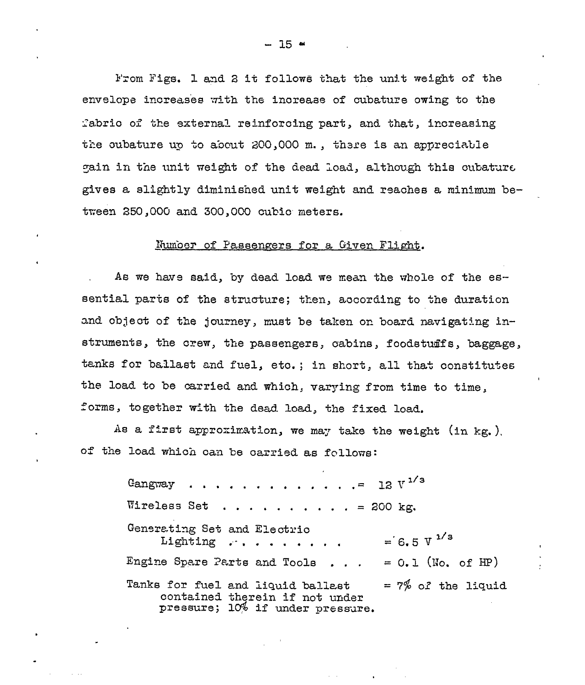From Figs. 1 and 2 it follows that the unit weight of the envelope increases with the increase of cubature owing to the fabrio of the external reinforcing part, and that, increasing the oubature up to about 200,000 m., there is an appreciable gain in the unit weight of the dead load, although this cubature gives a slightly diminished unit weight and reaches a minimum between 250,000 and 300,000 cubic meters.

#### Number of Passengers for a Given Flight.

As we have said, by dead load we mean the whole of the essential parts of the structure; then, according to the duration and object of the journey, must be taken on board navigating instruments, the crew, the passengers, cabins, foodstuffs, baggage, tanks for ballast and fuel, etc.; in short, all that constitutes the load to be carried and which, varying from time to time, forms, together with the dead load, the fixed load.

As a first approximation, we may take the weight (in kg.). of the load which can be carried as follows:

> 12  $V^{1/3}$ Gangway Wireless Set . . . . . . . . . . = 200 kg. Generating Set and Electric  $= 6.5 \text{ V}^{1/3}$ Lighting . . . . . . . . . Engine Spare Parts and Tools . . .  $= 0.1$  (No. of HP) Tanks for fuel and liquid ballast =  $7\%$  of the liquid contained therein if not under pressure; 10% if under pressure.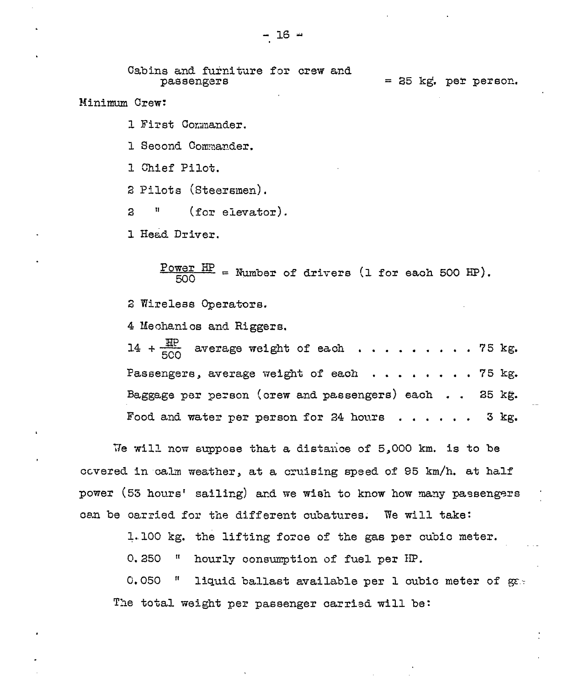Cabins and furniture for crew and = 25 kg. per person. passengers

Minimum Crew:

1 First Commander.

1 Second Commander.

1 Chief Pilot.

2 Pilots (Steersmen).

IJ  $(for$  elevator). 3

1 Head Driver.

 $\frac{\text{Power HP}}{\text{EOD}}$  = Number of drivers (1 for each 500 HP).

2 Wireless Operators.

4 Mechanics and Riggers.

14 +  $\frac{HP}{ECO}$  average weight of each . . . . . . . . . 75 kg. Passengers, average weight of each . . . . . . . 75 kg. Baggage per person (orew and passengers) each .. 25 kg. Food and water per person for 24 hours . . . . . . 3 kg.

We will now suppose that a distance of 5,000 km. is to be covered in calm weather, at a cruising speed of 95 km/h. at half power (53 hours' sailing) and we wish to know how many passengers can be carried for the different cubatures. We will take:

1.100 kg. the lifting force of the gas per cubic meter.

 $0.250$  $\mathbf{u}$ hourly consumption of fuel per HP.

0,050  $\mathbf{u}$ liquid ballast available per 1 oubic meter of gas The total weight per passenger carried will be: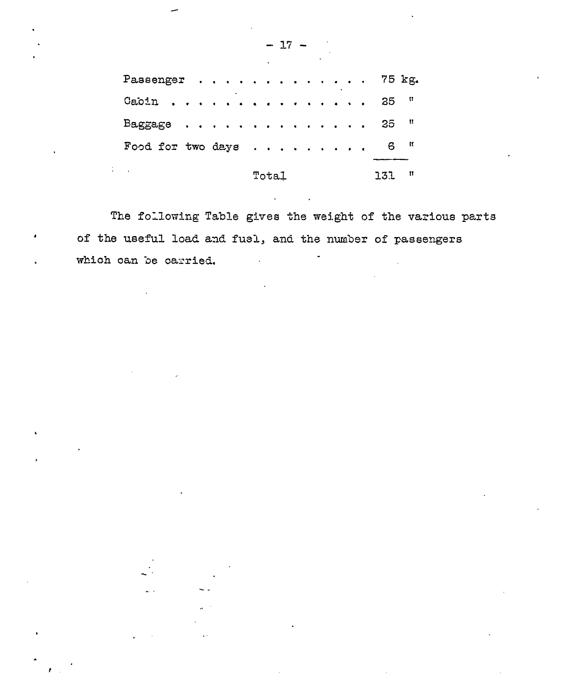| Passenger 75 kg.         |       |  |  |  |     |   |
|--------------------------|-------|--|--|--|-----|---|
| Gabin                    |       |  |  |  | 35  | Ħ |
| Baggage                  |       |  |  |  | 35  | Ħ |
| Food for two days        |       |  |  |  | 6   | Ħ |
| $\overline{\phantom{a}}$ | Total |  |  |  | 131 | Ħ |

The following Table gives the weight of the various parts of the useful load and fuel, and the number of passengers which can be carried.

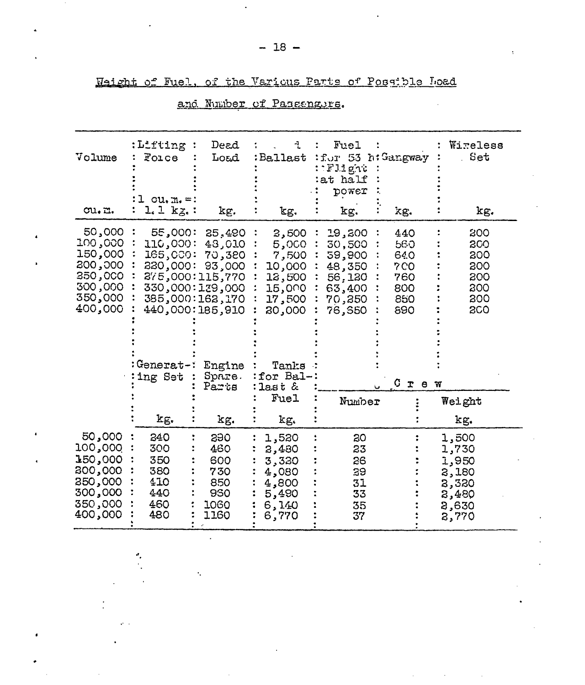|  |  |  |  | Waight of Fuel, of the Various Parts of Possible Load |  |
|--|--|--|--|-------------------------------------------------------|--|
|  |  |  |  |                                                       |  |

| Volume<br>cu.a.                                                                      | :Lifting<br>Force<br>$cu, m = 1$<br>$l.1 kg.$ :                     | Dead<br>Load<br>kg.                                                                                                                  | :Ballast<br>kg.                                                                                | Fuel<br>: for 53 h: Gangway<br>: : Flight<br>at half<br>power<br>kg.          | kg.                                                         | Wireless<br>Set<br>kg.                                               |
|--------------------------------------------------------------------------------------|---------------------------------------------------------------------|--------------------------------------------------------------------------------------------------------------------------------------|------------------------------------------------------------------------------------------------|-------------------------------------------------------------------------------|-------------------------------------------------------------|----------------------------------------------------------------------|
| 50,000<br>000, 100<br>150,000<br>200,000<br>350,000<br>300,000<br>350,000<br>400,000 | 55,000:<br>110,000:<br>165,000:<br>330,000:<br>Generat-:<br>ing Set | 25,490<br>48,010<br>70,380<br>93,000<br>275,000:115,770<br>330,000:129,000<br>385,000:162,170<br>440,000:185,910<br>Engine<br>Spare. | 3,500<br>5,000<br>7,500<br>10,000<br>12,500<br>15,000<br>17,500<br>20,000<br>Tanks<br>for Bal- | 19,200<br>30,500<br>59,900<br>48,350<br>56,120<br>63,400<br>70,350<br>76, 350 | 440<br>560<br>640<br><b>7CO</b><br>760<br>800<br>850<br>890 | 800<br>200<br>200<br>200<br>200<br>200<br>300<br><b>2CO</b>          |
|                                                                                      |                                                                     | Parts                                                                                                                                | $2$ ast $\&$<br>Fuel                                                                           |                                                                               | C.<br>$\mathbf r$<br>e w                                    |                                                                      |
|                                                                                      |                                                                     |                                                                                                                                      |                                                                                                | Number                                                                        |                                                             | Weight                                                               |
|                                                                                      | kg.                                                                 | kg.                                                                                                                                  | kg.                                                                                            |                                                                               |                                                             | kg.                                                                  |
| 50,000<br>100,000<br>150,000<br>200,000<br>250,000<br>300,000<br>350,000<br>400,000  | 240<br>300<br>350<br>380<br>410<br>440<br>460<br>480                | 390<br>460<br>600<br>730<br>850<br>930<br>1060<br>1160                                                                               | 1,520<br>2,480<br>3,320<br>4,080<br>4,800<br>5,490<br>6,140<br>6,770                           | 30<br>23<br>26<br>39<br>31<br>33<br>35<br>37                                  |                                                             | 1,500<br>1,730<br>1,950<br>3,180<br>2,320<br>2,480<br>8,630<br>2,770 |

 $\overline{\phantom{a}}$ 

 $\ddot{\phantom{a}}$ 

## and Number of Passengurs.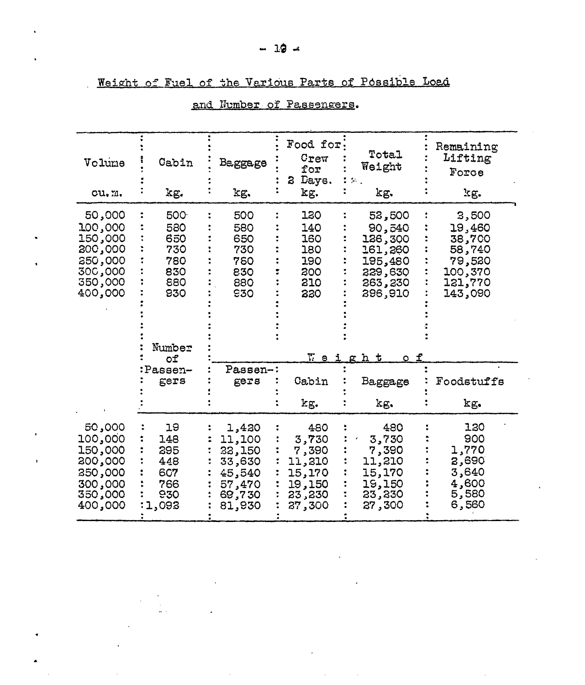| Volume<br>cu.n.                                                                       | Cabin<br>kg.                                                         | Baggage<br>kg.                                                              | Food for<br>Crew<br>for<br>Daye.<br>3<br>kg.                            | Total<br>Weight<br>kg.                                                                                | Remaining<br>Lifting<br>Force<br>kg.                                           |  |
|---------------------------------------------------------------------------------------|----------------------------------------------------------------------|-----------------------------------------------------------------------------|-------------------------------------------------------------------------|-------------------------------------------------------------------------------------------------------|--------------------------------------------------------------------------------|--|
| 50,000<br>100,000<br>150,000<br>000ءِ 200<br>250,000<br>300,000<br>350,000<br>400,000 | 500<br>580<br>650<br>730<br>780<br>830<br>880<br>930<br>Number<br>оf | 500<br>580<br>650<br>730<br>780<br>830<br>880<br>930                        | 120<br>140<br>160<br>180<br>190<br>200<br>210<br>220<br><u>V e i</u>    | 52,500<br>90,540<br>126,300<br>161,260<br>195,480<br>229,630<br>263,230<br>296,910<br><u>h t</u><br>ε | 3,500<br>19,460<br>38,700<br>58,740<br>79,520<br>100,370<br>121,770<br>143,090 |  |
|                                                                                       | Passen-<br>gers                                                      | Passen-:<br>gers                                                            | Cabin                                                                   | Baggage                                                                                               | Foodstuffs                                                                     |  |
|                                                                                       |                                                                      |                                                                             | kg.                                                                     | kg.                                                                                                   | kg.                                                                            |  |
| 50,000<br>100,000<br>150,000<br>200,000<br>250,000<br>300,000<br>350,000<br>400,000   | 19<br>148<br>295<br>448<br>607<br>766<br>930<br>1,093                | 1,420<br>11,100<br>32,150<br>33,630<br>45,540<br>57,470<br>69,730<br>81,930 | 480<br>3,730<br>7,390<br>11,210<br>15,170<br>19,150<br>23,230<br>37,300 | 480<br>3,730<br>7,390<br>11,210<br>15,170<br>19,150<br>23, 230<br>27,300                              | 120<br>900<br>1,770<br>2,690<br>3,640<br>4,600<br>5,580<br>6,560               |  |

 $\bar{A}$ 

 $\mathcal{L}_{\mathrm{eff}}$ 

 $\sim$ 

## and Number of Passengers.

Weight of Fuel of the Various Parts of Possible Load

 $-19 =$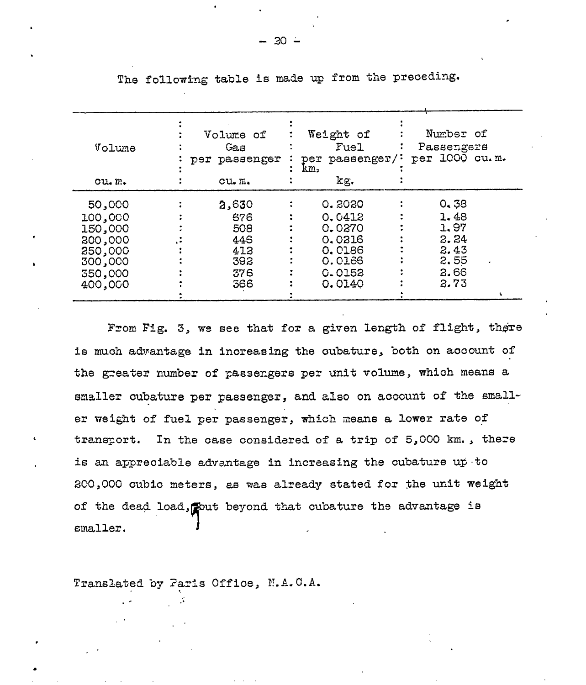| Volume  | Volume of<br>Gas<br>per passenger | Weight of<br>Fuel<br>per passenger/: | Number of<br>Passengers<br>per 1000 cu.m. |
|---------|-----------------------------------|--------------------------------------|-------------------------------------------|
| ou.m.   | $cu \cdot m$                      | km,<br>kg.                           |                                           |
| 50,000  | 2,630                             | 0.3030                               | 0.38                                      |
| 100,000 | 676                               | 0.0412                               | 1.48                                      |
| 150,000 | 508                               | 0.0270                               | 1.97                                      |
| 200,000 | 446                               | 0.0316                               | 2.24                                      |
| 250,000 | 412                               | 0.0186                               | 2.43                                      |
| 300,000 | 392                               | 0.0166                               | 2.55                                      |
| 550,000 | 376                               | 0.0152                               | 2.66                                      |
| 400,000 | 366                               | 0.0140                               | 2.73                                      |
|         |                                   |                                      |                                           |

The following table is made up from the preceding.

From Fig. 3, we see that for a given length of flight, there is much advantage in increasing the oubature, both on account of the greater number of passengers per unit volume, which means a smaller oubature per passenger, and also on account of the smaller weight of fuel per passenger, which means a lower rate of transport. In the case considered of a trip of 5,000 km., there is an appreciable advantage in increasing the cubature up to 200,000 cubic meters, as was already stated for the unit weight of the dead load, pout beyond that cubature the advantage is smaller.

Translated by Paris Office, N.A.C.A.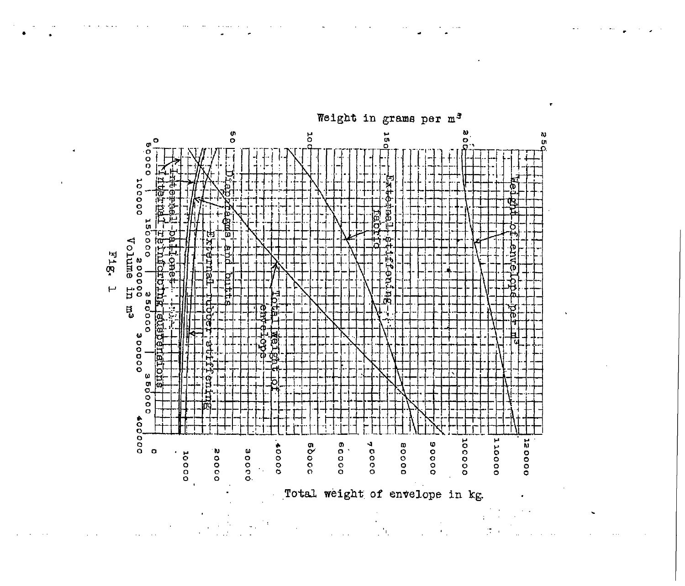

 $\mathcal{I}$  t

 $\mathcal{L}_{\mathrm{max}}$ 

 $\sim 10$ 

i.

 $\tilde{\mathcal{A}}_1$ 

Weight in grams per m<sup>3</sup>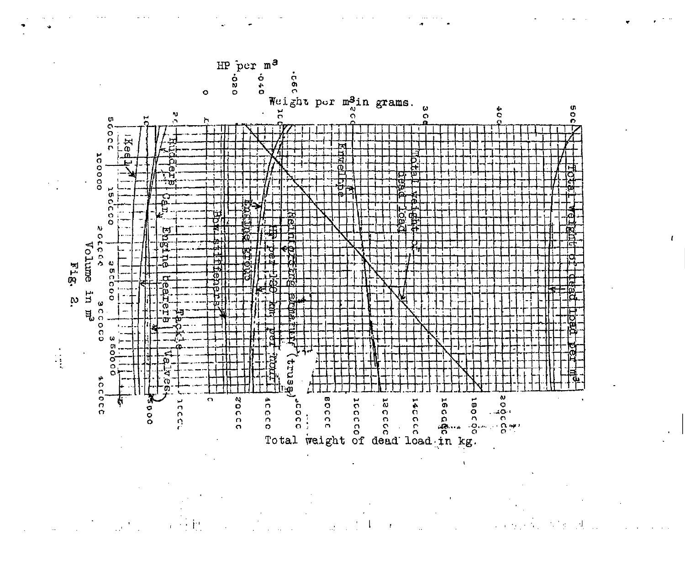

 $\mathbb{R}^2$  and  $\mathbb{R}^2$  $\mathbb{R}^4$ 

 $\mathcal{L}^{\text{c}}$  and  $\mathcal{L}^{\text{c}}$